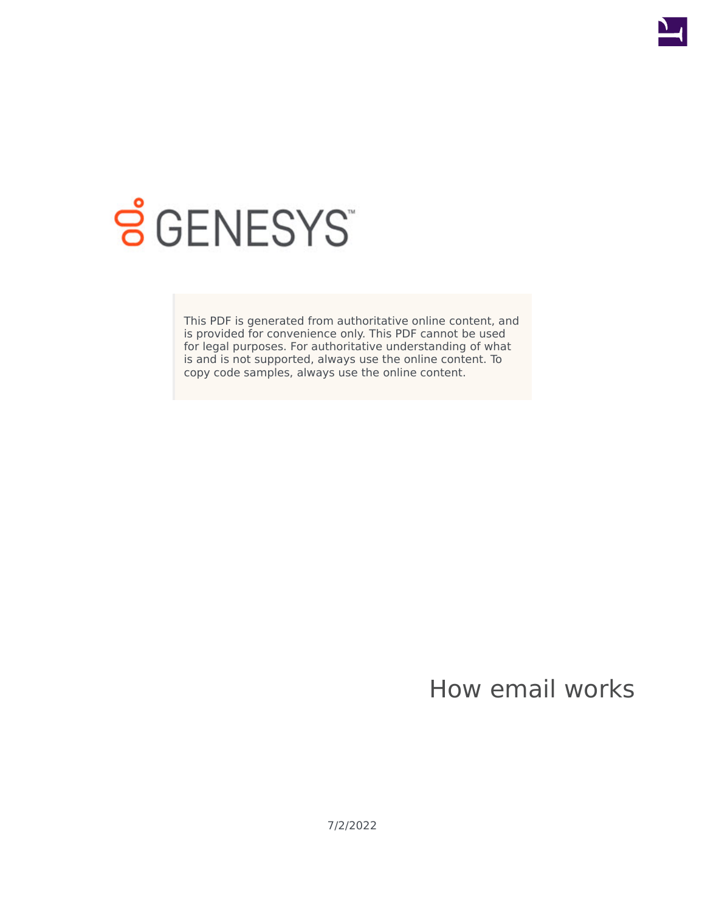

# **SGENESYS**

This PDF is generated from authoritative online content, and is provided for convenience only. This PDF cannot be used for legal purposes. For authoritative understanding of what is and is not supported, always use the online content. To copy code samples, always use the online content.

How email works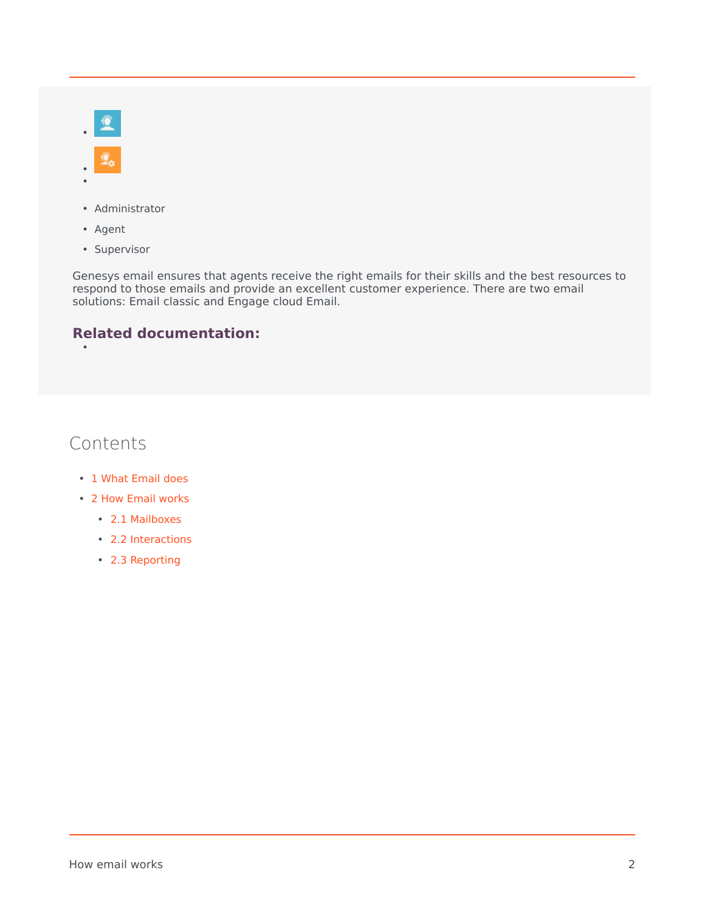•

•

- Administrator
- Agent
- Supervisor

Genesys email ensures that agents receive the right emails for their skills and the best resources to respond to those emails and provide an excellent customer experience. There are two email solutions: Email classic and Engage cloud Email.

## **Related documentation:**

## Contents

- 1 [What Email does](#page-2-0)
- 2 [How Email works](#page-2-1)
	- 2.1 [Mailboxes](#page-3-0)
	- 2.2 [Interactions](#page-4-0)
	- 2.3 [Reporting](#page-5-0)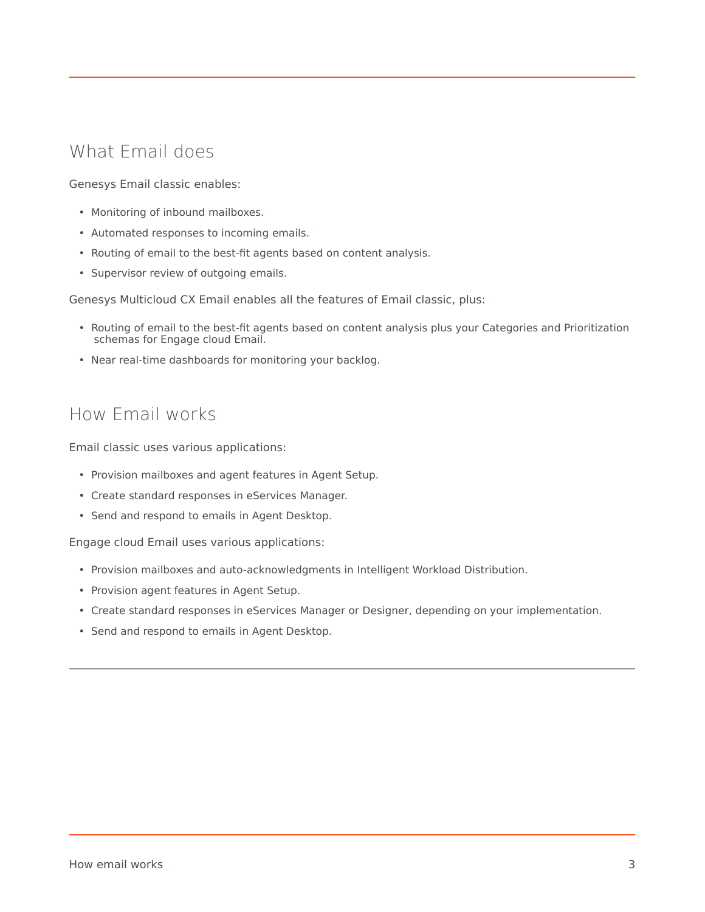# <span id="page-2-0"></span>What Email does

Genesys Email classic enables:

- Monitoring of inbound mailboxes.
- Automated responses to incoming emails.
- Routing of email to the best-fit agents based on content analysis.
- Supervisor review of outgoing emails.

Genesys Multicloud CX Email enables all the features of Email classic, plus:

- Routing of email to the best-fit agents based on content analysis plus your Categories and Prioritization schemas for Engage cloud Email.
- Near real-time dashboards for monitoring your backlog.

## <span id="page-2-1"></span>How Email works

Email classic uses various applications:

- Provision mailboxes and agent features in Agent Setup.
- Create standard responses in eServices Manager.
- Send and respond to emails in Agent Desktop.

Engage cloud Email uses various applications:

- Provision mailboxes and auto-acknowledgments in Intelligent Workload Distribution.
- Provision agent features in Agent Setup.
- Create standard responses in eServices Manager or Designer, depending on your implementation.
- Send and respond to emails in Agent Desktop.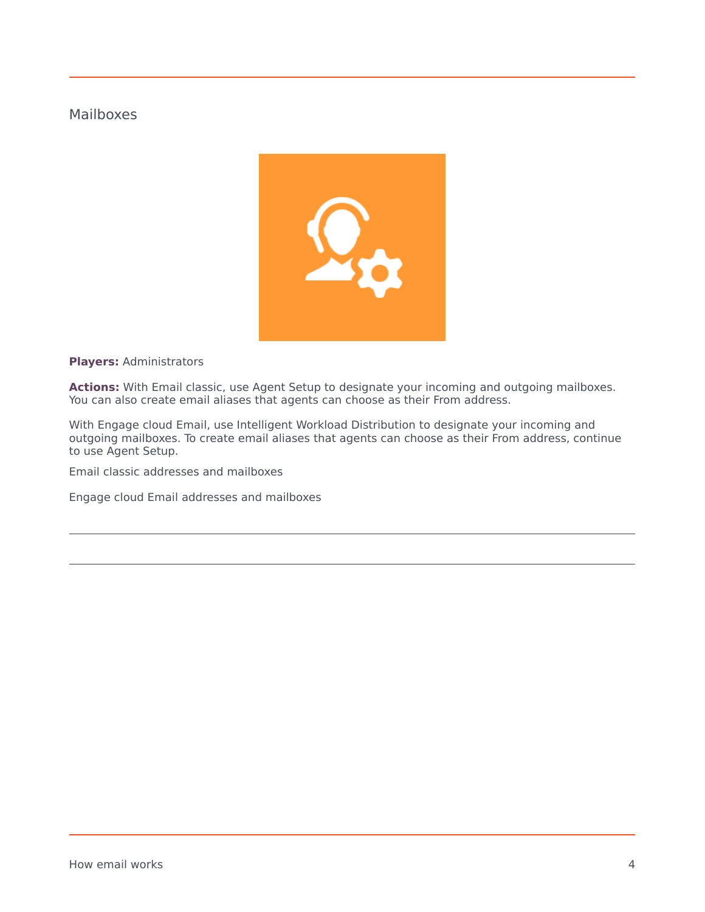## <span id="page-3-0"></span>Mailboxes



**Players:** Administrators

**Actions:** With Email classic, use Agent Setup to designate your incoming and outgoing mailboxes. You can also create email aliases that agents can choose as their From address.

With Engage cloud Email, use Intelligent Workload Distribution to designate your incoming and outgoing mailboxes. To create email aliases that agents can choose as their From address, continue to use Agent Setup.

Email classic addresses and mailboxes

Engage cloud Email addresses and mailboxes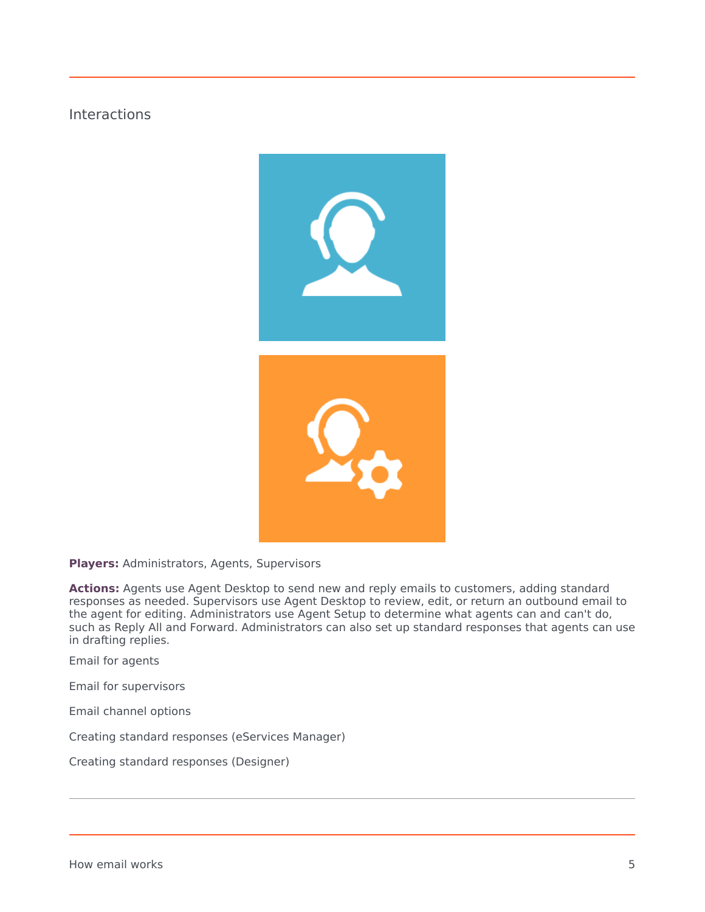## <span id="page-4-0"></span>Interactions



**Players:** Administrators, Agents, Supervisors

**Actions:** Agents use Agent Desktop to send new and reply emails to customers, adding standard responses as needed. Supervisors use Agent Desktop to review, edit, or return an outbound email to the agent for editing. Administrators use Agent Setup to determine what agents can and can't do, such as Reply All and Forward. Administrators can also set up standard responses that agents can use in drafting replies.

Email for agents

Email for supervisors

Email channel options

Creating standard responses (eServices Manager)

Creating standard responses (Designer)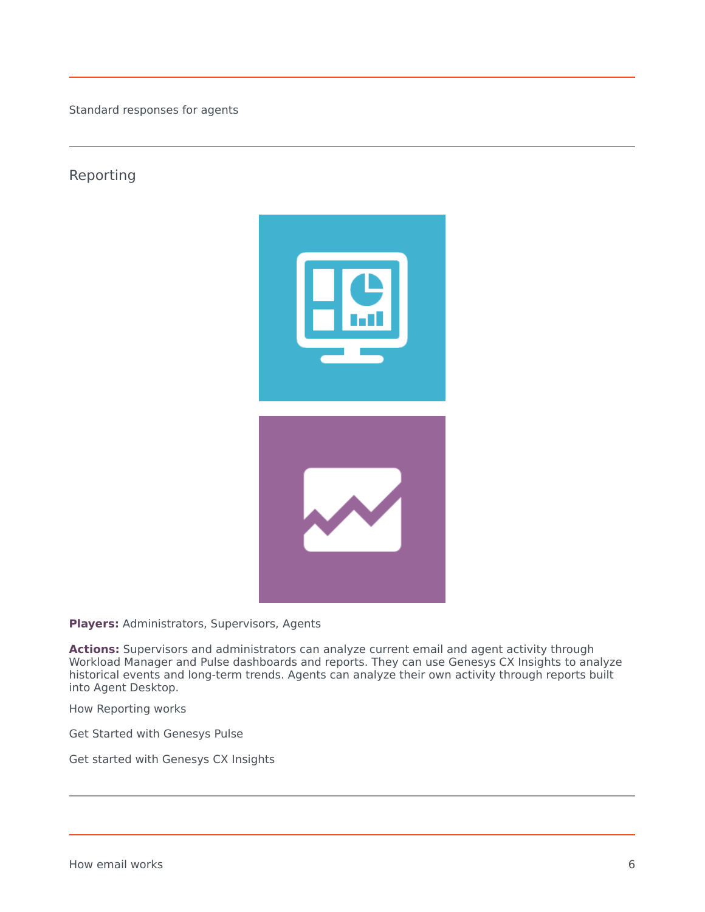Standard responses for agents

## <span id="page-5-0"></span>Reporting



**Players:** Administrators, Supervisors, Agents

**Actions:** Supervisors and administrators can analyze current email and agent activity through Workload Manager and Pulse dashboards and reports. They can use Genesys CX Insights to analyze historical events and long-term trends. Agents can analyze their own activity through reports built into Agent Desktop.

How Reporting works

Get Started with Genesys Pulse

Get started with Genesys CX Insights